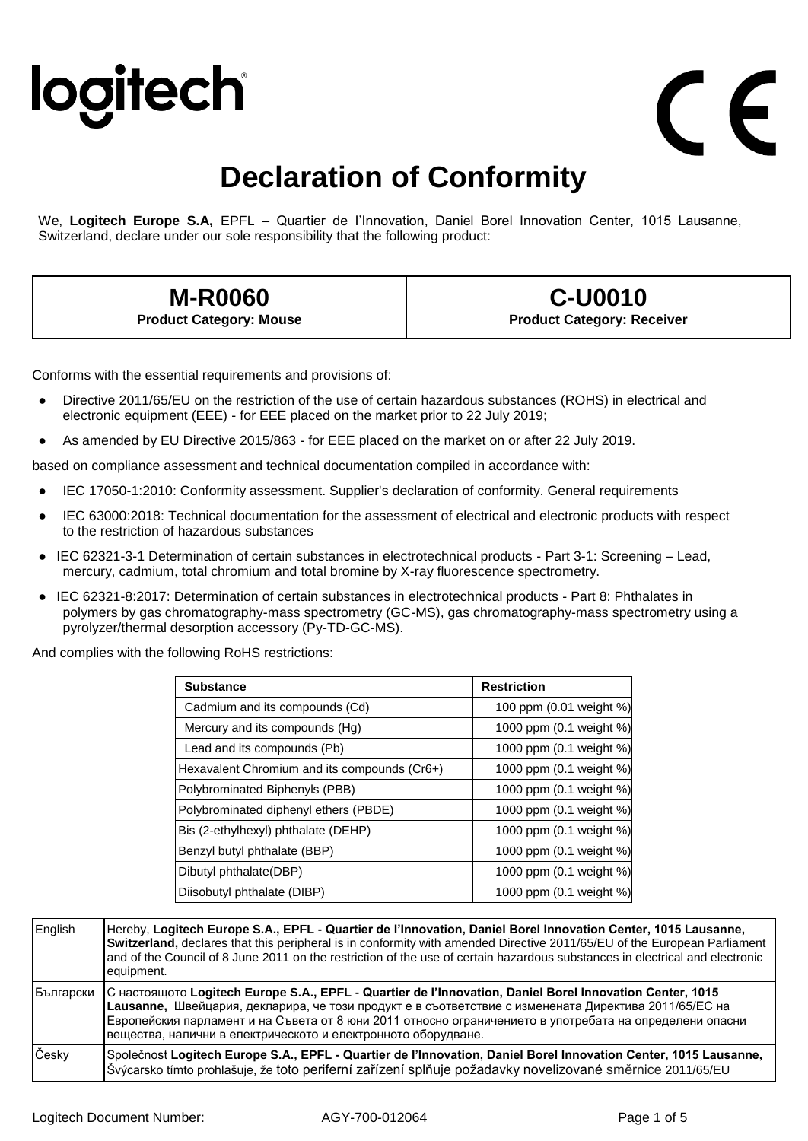## logitech

## **Declaration of Conformity**

We, **Logitech Europe S.A,** EPFL – Quartier de I'Innovation, Daniel Borel Innovation Center, 1015 Lausanne, Switzerland, declare under our sole responsibility that the following product:

## **M-R0060 Product Category: Mouse**

**C-U0010 Product Category: Receiver**

Conforms with the essential requirements and provisions of:

- Directive 2011/65/EU on the restriction of the use of certain hazardous substances (ROHS) in electrical and electronic equipment (EEE) - for EEE placed on the market prior to 22 July 2019;
- As amended by EU Directive 2015/863 for EEE placed on the market on or after 22 July 2019.

based on compliance assessment and technical documentation compiled in accordance with:

- IEC 17050-1:2010: Conformity assessment. Supplier's declaration of conformity. General requirements
- IEC 63000:2018: Technical documentation for the assessment of electrical and electronic products with respect to the restriction of hazardous substances
- IEC 62321-3-1 Determination of certain substances in electrotechnical products Part 3-1: Screening Lead, mercury, cadmium, total chromium and total bromine by X-ray fluorescence spectrometry.
- IEC 62321-8:2017: Determination of certain substances in electrotechnical products Part 8: Phthalates in polymers by gas chromatography-mass spectrometry (GC-MS), gas chromatography-mass spectrometry using a pyrolyzer/thermal desorption accessory (Py-TD-GC-MS).

And complies with the following RoHS restrictions:

| <b>Substance</b>                             | <b>Restriction</b>      |
|----------------------------------------------|-------------------------|
| Cadmium and its compounds (Cd)               | 100 ppm (0.01 weight %) |
| Mercury and its compounds (Hg)               | 1000 ppm (0.1 weight %) |
| Lead and its compounds (Pb)                  | 1000 ppm (0.1 weight %) |
| Hexavalent Chromium and its compounds (Cr6+) | 1000 ppm (0.1 weight %) |
| Polybrominated Biphenyls (PBB)               | 1000 ppm (0.1 weight %) |
| Polybrominated diphenyl ethers (PBDE)        | 1000 ppm (0.1 weight %) |
| Bis (2-ethylhexyl) phthalate (DEHP)          | 1000 ppm (0.1 weight %) |
| Benzyl butyl phthalate (BBP)                 | 1000 ppm (0.1 weight %) |
| Dibutyl phthalate(DBP)                       | 1000 ppm (0.1 weight %) |
| Diisobutyl phthalate (DIBP)                  | 1000 ppm (0.1 weight %) |

| English   | Hereby, Logitech Europe S.A., EPFL - Quartier de l'Innovation, Daniel Borel Innovation Center, 1015 Lausanne,<br>Switzerland, declares that this peripheral is in conformity with amended Directive 2011/65/EU of the European Parliament<br>and of the Council of 8 June 2011 on the restriction of the use of certain hazardous substances in electrical and electronic<br>equipment.       |
|-----------|-----------------------------------------------------------------------------------------------------------------------------------------------------------------------------------------------------------------------------------------------------------------------------------------------------------------------------------------------------------------------------------------------|
| Български | С настоящото Logitech Europe S.A., EPFL - Quartier de l'Innovation, Daniel Borel Innovation Center, 1015<br>Lausanne, Швейцария, декларира, че този продукт е в съответствие с изменената Директива 2011/65/ЕС на<br>Европейския парламент и на Съвета от 8 юни 2011 относно ограничението в употребата на определени опасни<br>вещества, налични в електрическото и електронното оборудване. |
| Česky     | Společnost Logitech Europe S.A., EPFL - Quartier de l'Innovation, Daniel Borel Innovation Center, 1015 Lausanne,<br>Švýcarsko tímto prohlašuje, že toto periferní zařízení splňuje požadavky novelizované směrnice 2011/65/EU                                                                                                                                                                 |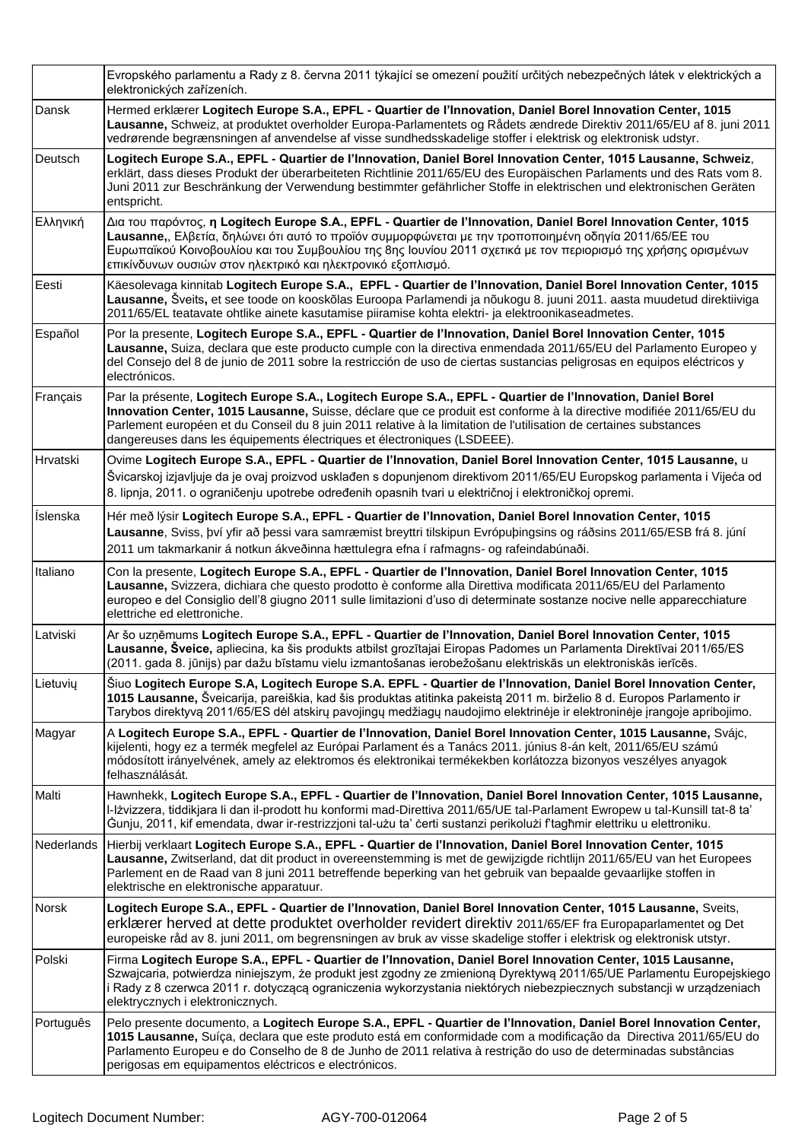|            | Evropského parlamentu a Rady z 8. června 2011 týkající se omezení použití určitých nebezpečných látek v elektrických a<br>elektronických zařízeních.                                                                                                                                                                                                                                                                              |
|------------|-----------------------------------------------------------------------------------------------------------------------------------------------------------------------------------------------------------------------------------------------------------------------------------------------------------------------------------------------------------------------------------------------------------------------------------|
| Dansk      | Hermed erklærer Logitech Europe S.A., EPFL - Quartier de l'Innovation, Daniel Borel Innovation Center, 1015<br>Lausanne, Schweiz, at produktet overholder Europa-Parlamentets og Rådets ændrede Direktiv 2011/65/EU af 8. juni 2011<br>vedrørende begrænsningen af anvendelse af visse sundhedsskadelige stoffer i elektrisk og elektronisk udstyr.                                                                               |
| Deutsch    | Logitech Europe S.A., EPFL - Quartier de l'Innovation, Daniel Borel Innovation Center, 1015 Lausanne, Schweiz,<br>erklärt, dass dieses Produkt der überarbeiteten Richtlinie 2011/65/EU des Europäischen Parlaments und des Rats vom 8.<br>Juni 2011 zur Beschränkung der Verwendung bestimmter gefährlicher Stoffe in elektrischen und elektronischen Geräten<br>entspricht.                                                     |
| Ελληνική   | Δια του παρόντος, η Logitech Europe S.A., EPFL - Quartier de l'Innovation, Daniel Borel Innovation Center, 1015<br>Lausanne,, Ελβετία, δηλώνει ότι αυτό το προϊόν συμμορφώνεται με την τροποποιημένη οδηγία 2011/65/ΕΕ του<br>Ευρωπαϊκού Κοινοβουλίου και του Συμβουλίου της 8ης Ιουνίου 2011 σχετικά με τον περιορισμό της χρήσης ορισμένων<br>επικίνδυνων ουσιών στον ηλεκτρικό και ηλεκτρονικό εξοπλισμό.                      |
| Eesti      | Käesolevaga kinnitab Logitech Europe S.A., EPFL - Quartier de l'Innovation, Daniel Borel Innovation Center, 1015<br>Lausanne, Šveits, et see toode on kooskõlas Euroopa Parlamendi ja nõukogu 8. juuni 2011. aasta muudetud direktiiviga<br>2011/65/EL teatavate ohtlike ainete kasutamise piiramise kohta elektri- ja elektroonikaseadmetes.                                                                                     |
| Español    | Por la presente, Logitech Europe S.A., EPFL - Quartier de l'Innovation, Daniel Borel Innovation Center, 1015<br>Lausanne, Suiza, declara que este producto cumple con la directiva enmendada 2011/65/EU del Parlamento Europeo y<br>del Consejo del 8 de junio de 2011 sobre la restricción de uso de ciertas sustancias peligrosas en equipos eléctricos y<br>electrónicos.                                                      |
| Français   | Par la présente, Logitech Europe S.A., Logitech Europe S.A., EPFL - Quartier de l'Innovation, Daniel Borel<br>Innovation Center, 1015 Lausanne, Suisse, déclare que ce produit est conforme à la directive modifiée 2011/65/EU du<br>Parlement européen et du Conseil du 8 juin 2011 relative à la limitation de l'utilisation de certaines substances<br>dangereuses dans les équipements électriques et électroniques (LSDEEE). |
| Hrvatski   | Ovime Logitech Europe S.A., EPFL - Quartier de l'Innovation, Daniel Borel Innovation Center, 1015 Lausanne, u<br>Švicarskoj izjavljuje da je ovaj proizvod usklađen s dopunjenom direktivom 2011/65/EU Europskog parlamenta i Vijeća od<br>8. lipnja, 2011. o ograničenju upotrebe određenih opasnih tvari u električnoj i elektroničkoj opremi.                                                                                  |
| Íslenska   | Hér með lýsir Logitech Europe S.A., EPFL - Quartier de l'Innovation, Daniel Borel Innovation Center, 1015<br>Lausanne, Sviss, bví yfir að þessi vara samræmist breyttri tilskipun Evrópuþingsins og ráðsins 2011/65/ESB frá 8. júní<br>2011 um takmarkanir á notkun ákveðinna hættulegra efna í rafmagns- og rafeindabúnaði.                                                                                                      |
| Italiano   | Con la presente, Logitech Europe S.A., EPFL - Quartier de l'Innovation, Daniel Borel Innovation Center, 1015<br>Lausanne, Svizzera, dichiara che questo prodotto è conforme alla Direttiva modificata 2011/65/EU del Parlamento<br>europeo e del Consiglio dell'8 giugno 2011 sulle limitazioni d'uso di determinate sostanze nocive nelle apparecchiature<br>elettriche ed elettroniche.                                         |
| Latviski   | Ar šo uzņēmums Logitech Europe S.A., EPFL - Quartier de l'Innovation, Daniel Borel Innovation Center, 1015<br>Lausanne, Šveice, apliecina, ka šis produkts atbilst grozītajai Eiropas Padomes un Parlamenta Direktīvai 2011/65/ES<br>(2011. gada 8. jūnijs) par dažu bīstamu vielu izmantošanas ierobežošanu elektriskās un elektroniskās ierīcēs.                                                                                |
| Lietuvių   | Šiuo Logitech Europe S.A, Logitech Europe S.A. EPFL - Quartier de l'Innovation, Daniel Borel Innovation Center,<br>1015 Lausanne, Šveicarija, pareiškia, kad šis produktas atitinka pakeistą 2011 m. birželio 8 d. Europos Parlamento ir<br>Tarybos direktyvą 2011/65/ES dėl atskirų pavojingų medžiagų naudojimo elektrinėje ir elektroninėje įrangoje apribojimo.                                                               |
| Magyar     | A Logitech Europe S.A., EPFL - Quartier de l'Innovation, Daniel Borel Innovation Center, 1015 Lausanne, Svájc,<br>kijelenti, hogy ez a termék megfelel az Európai Parlament és a Tanács 2011. június 8-án kelt, 2011/65/EU számú<br>módosított irányelvének, amely az elektromos és elektronikai termékekben korlátozza bizonyos veszélyes anyagok<br>felhasználását.                                                             |
| Malti      | Hawnhekk, Logitech Europe S.A., EPFL - Quartier de l'Innovation, Daniel Borel Innovation Center, 1015 Lausanne,<br>I-Iżvizzera, tiddikjara li dan il-prodott hu konformi mad-Direttiva 2011/65/UE tal-Parlament Ewropew u tal-Kunsill tat-8 ta'<br>Gunju, 2011, kif emendata, dwar ir-restrizzjoni tal-użu ta' certi sustanzi perikolużi f tagħmir elettriku u elettroniku.                                                       |
| Nederlands | Hierbij verklaart Logitech Europe S.A., EPFL - Quartier de l'Innovation, Daniel Borel Innovation Center, 1015<br>Lausanne, Zwitserland, dat dit product in overeenstemming is met de gewijzigde richtlijn 2011/65/EU van het Europees<br>Parlement en de Raad van 8 juni 2011 betreffende beperking van het gebruik van bepaalde gevaarlijke stoffen in<br>elektrische en elektronische apparatuur.                               |
| Norsk      | Logitech Europe S.A., EPFL - Quartier de l'Innovation, Daniel Borel Innovation Center, 1015 Lausanne, Sveits,<br>erklærer herved at dette produktet overholder revidert direktiv 2011/65/EF fra Europaparlamentet og Det<br>europeiske råd av 8. juni 2011, om begrensningen av bruk av visse skadelige stoffer i elektrisk og elektronisk utstyr.                                                                                |
| Polski     | Firma Logitech Europe S.A., EPFL - Quartier de l'Innovation, Daniel Borel Innovation Center, 1015 Lausanne,<br>Szwajcaria, potwierdza niniejszym, że produkt jest zgodny ze zmienioną Dyrektywą 2011/65/UE Parlamentu Europejskiego<br>i Rady z 8 czerwca 2011 r. dotyczącą ograniczenia wykorzystania niektórych niebezpiecznych substancji w urządzeniach<br>elektrycznych i elektronicznych.                                   |
| Português  | Pelo presente documento, a Logitech Europe S.A., EPFL - Quartier de l'Innovation, Daniel Borel Innovation Center,<br>1015 Lausanne, Suíça, declara que este produto está em conformidade com a modificação da Directiva 2011/65/EU do<br>Parlamento Europeu e do Conselho de 8 de Junho de 2011 relativa à restrição do uso de determinadas substâncias<br>perigosas em equipamentos eléctricos e electrónicos.                   |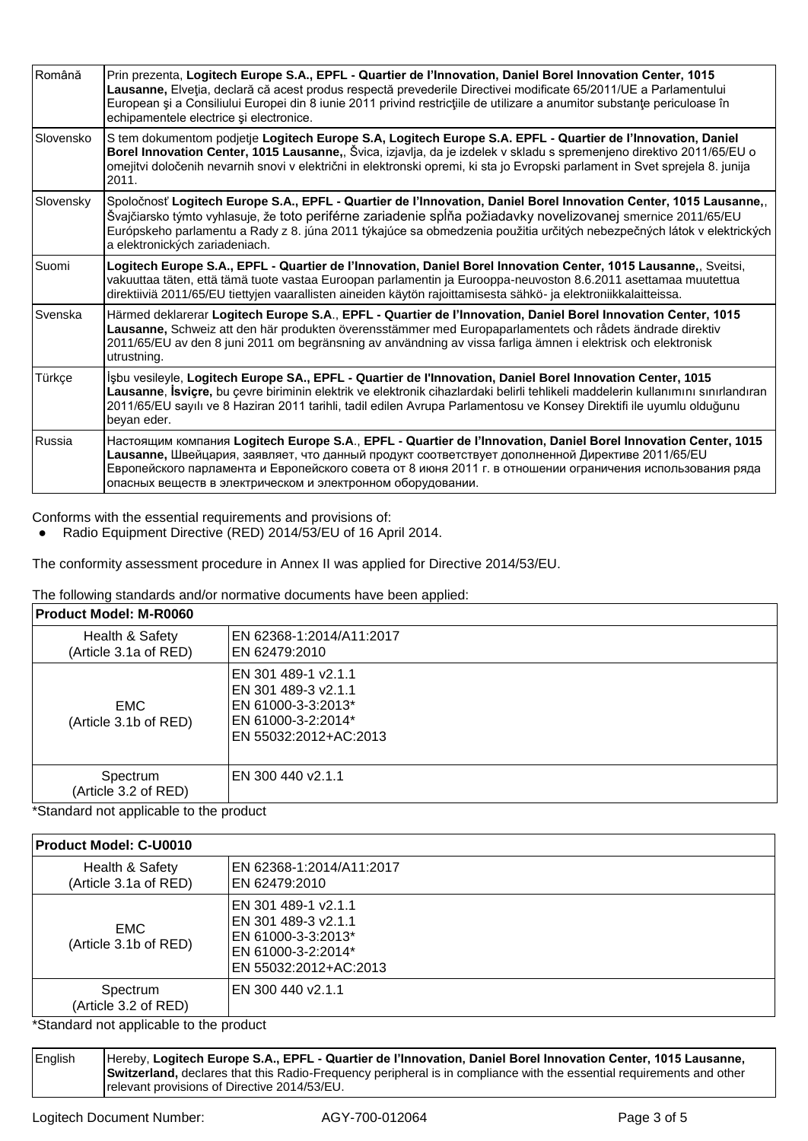| Română    | Prin prezenta, Logitech Europe S.A., EPFL - Quartier de l'Innovation, Daniel Borel Innovation Center, 1015<br>Lausanne, Elveția, declară că acest produs respectă prevederile Directivei modificate 65/2011/UE a Parlamentului<br>European și a Consiliului Europei din 8 iunie 2011 privind restricțiile de utilizare a anumitor substanțe periculoase în<br>echipamentele electrice și electronice. |
|-----------|-------------------------------------------------------------------------------------------------------------------------------------------------------------------------------------------------------------------------------------------------------------------------------------------------------------------------------------------------------------------------------------------------------|
| Slovensko | S tem dokumentom podjetje Logitech Europe S.A, Logitech Europe S.A. EPFL - Quartier de l'Innovation, Daniel<br>Borel Innovation Center, 1015 Lausanne,, Švica, izjavlja, da je izdelek v skladu s spremenjeno direktivo 2011/65/EU o<br>omejitvi določenih nevarnih snovi v električni in elektronski opremi, ki sta jo Evropski parlament in Svet sprejela 8. junija<br>2011.                        |
| Slovensky | Spoločnosť Logitech Europe S.A., EPFL - Quartier de l'Innovation, Daniel Borel Innovation Center, 1015 Lausanne,,<br>Švajčiarsko týmto vyhlasuje, že toto periférne zariadenie spĺňa požiadavky novelizovanej smernice 2011/65/EU<br>Európskeho parlamentu a Rady z 8. júna 2011 týkajúce sa obmedzenia použitia určitých nebezpečných látok v elektrických<br>a elektronických zariadeniach.         |
| Suomi     | Logitech Europe S.A., EPFL - Quartier de l'Innovation, Daniel Borel Innovation Center, 1015 Lausanne,, Sveitsi,<br>vakuuttaa täten, että tämä tuote vastaa Euroopan parlamentin ja Eurooppa-neuvoston 8.6.2011 asettamaa muutettua<br>direktiiviä 2011/65/EU tiettyjen vaarallisten aineiden käytön rajoittamisesta sähkö- ja elektroniikkalaitteissa.                                                |
| Svenska   | Härmed deklarerar Logitech Europe S.A., EPFL - Quartier de l'Innovation, Daniel Borel Innovation Center, 1015<br>Lausanne, Schweiz att den här produkten överensstämmer med Europaparlamentets och rådets ändrade direktiv<br>2011/65/EU av den 8 juni 2011 om begränsning av användning av vissa farliga ämnen i elektrisk och elektronisk<br>utrustning.                                            |
| Türkçe    | İşbu vesileyle, Logitech Europe SA., EPFL - Quartier de l'Innovation, Daniel Borel Innovation Center, 1015<br>Lausanne, İsviçre, bu çevre biriminin elektrik ve elektronik cihazlardaki belirli tehlikeli maddelerin kullanımını sınırlandıran<br>2011/65/EU sayılı ve 8 Haziran 2011 tarihli, tadil edilen Avrupa Parlamentosu ve Konsey Direktifi ile uyumlu olduğunu<br>beyan eder.                |
| Russia    | Настоящим компания Logitech Europe S.A., EPFL - Quartier de l'Innovation, Daniel Borel Innovation Center, 1015<br>Lausanne, Швейцария, заявляет, что данный продукт соответствует дополненной Директиве 2011/65/EU<br>Европейского парламента и Европейского совета от 8 июня 2011 г. в отношении ограничения использования ряда<br>опасных веществ в электрическом и электронном оборудовании.       |

Conforms with the essential requirements and provisions of:

● Radio Equipment Directive (RED) 2014/53/EU of 16 April 2014.

The conformity assessment procedure in Annex II was applied for Directive 2014/53/EU.

The following standards and/or normative documents have been applied:

| <b>Product Model: M-R0060</b>            |                                                                                                                 |
|------------------------------------------|-----------------------------------------------------------------------------------------------------------------|
| Health & Safety<br>(Article 3.1a of RED) | EN 62368-1:2014/A11:2017<br>EN 62479:2010                                                                       |
| <b>EMC</b><br>(Article 3.1b of RED)      | EN 301 489-1 v2.1.1<br>EN 301 489-3 v2.1.1<br>EN 61000-3-3:2013*<br>EN 61000-3-2:2014*<br>EN 55032:2012+AC:2013 |
| Spectrum<br>(Article 3.2 of RED)         | EN 300 440 v2.1.1                                                                                               |

\*Standard not applicable to the product

## **Product Model: C-U0010**

| Health & Safety<br>(Article 3.1a of RED) | EN 62368-1:2014/A11:2017<br>EN 62479:2010                                                                       |
|------------------------------------------|-----------------------------------------------------------------------------------------------------------------|
| <b>EMC</b><br>(Article 3.1b of RED)      | EN 301 489-1 v2.1.1<br>EN 301 489-3 v2.1.1<br>EN 61000-3-3:2013*<br>EN 61000-3-2:2014*<br>EN 55032:2012+AC:2013 |
| Spectrum<br>(Article 3.2 of RED)         | EN 300 440 v2.1.1                                                                                               |
| *Ctondord not opplicable to the product  |                                                                                                                 |

\*Standard not applicable to the product

English Hereby, **Logitech Europe S.A., EPFL - Quartier de I'Innovation, Daniel Borel Innovation Center, 1015 Lausanne, Switzerland,** declares that this Radio-Frequency peripheral is in compliance with the essential requirements and other relevant provisions of Directive 2014/53/EU.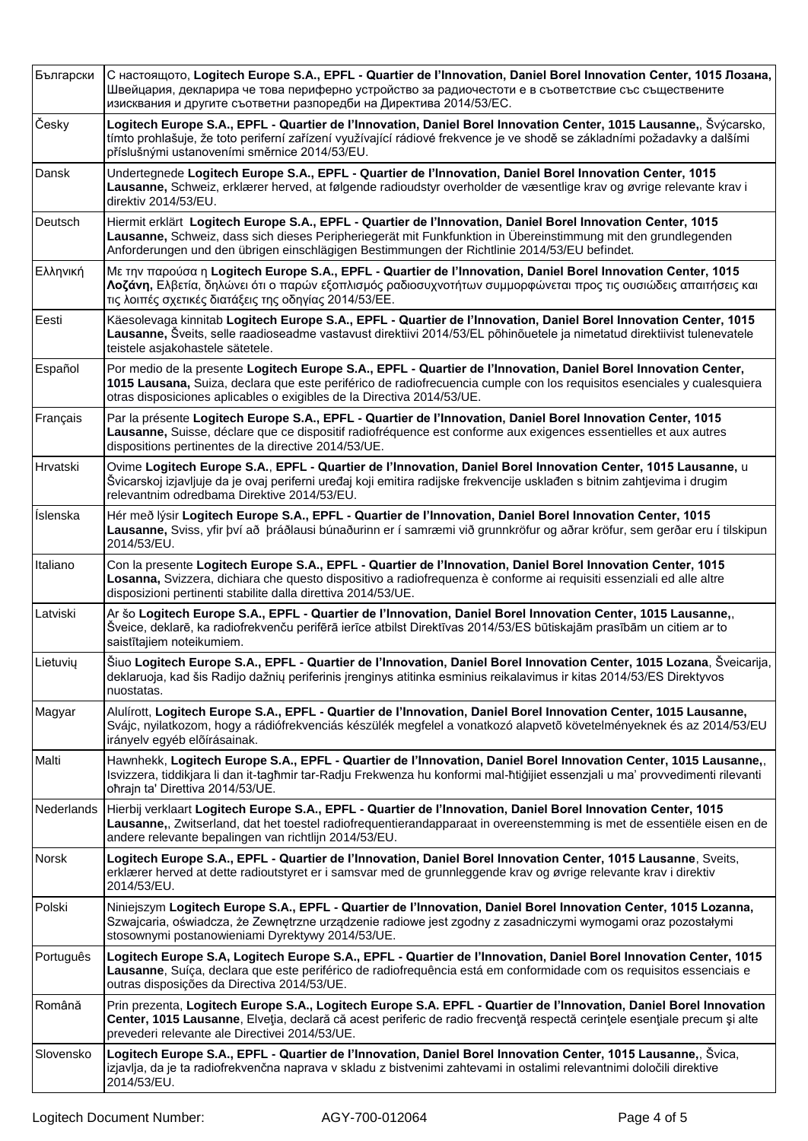| Български         | С настоящото, Logitech Europe S.A., EPFL - Quartier de l'Innovation, Daniel Borel Innovation Center, 1015 Лозана,<br>Швейцария, декларира че това периферно устройство за радиочестоти е в съответствие със съществените<br>изисквания и другите съответни разпоредби на Директива 2014/53/EC.                               |
|-------------------|------------------------------------------------------------------------------------------------------------------------------------------------------------------------------------------------------------------------------------------------------------------------------------------------------------------------------|
| Česky             | Logitech Europe S.A., EPFL - Quartier de l'Innovation, Daniel Borel Innovation Center, 1015 Lausanne,, Švýcarsko,<br>tímto prohlašuje, že toto periferní zařízení využívající rádiové frekvence je ve shodě se základními požadavky a dalšími<br>příslušnými ustanoveními směrnice 2014/53/EU.                               |
| Dansk             | Undertegnede Logitech Europe S.A., EPFL - Quartier de l'Innovation, Daniel Borel Innovation Center, 1015<br>Lausanne, Schweiz, erklærer herved, at følgende radioudstyr overholder de væsentlige krav og øvrige relevante krav i<br>direktiv 2014/53/EU.                                                                     |
| Deutsch           | Hiermit erklärt Logitech Europe S.A., EPFL - Quartier de l'Innovation, Daniel Borel Innovation Center, 1015<br>Lausanne, Schweiz, dass sich dieses Peripheriegerät mit Funkfunktion in Übereinstimmung mit den grundlegenden<br>Anforderungen und den übrigen einschlägigen Bestimmungen der Richtlinie 2014/53/EU befindet. |
| Ελληνική          | Με την παρούσα η Logitech Europe S.A., EPFL - Quartier de l'Innovation, Daniel Borel Innovation Center, 1015<br>Λοζάνη, Ελβετία, δηλώνει ότι ο παρών εξοπλισμός ραδιοσυχνοτήτων συμμορφώνεται προς τις ουσιώδεις απαιτήσεις και<br>τις λοιπές σχετικές διατάξεις της οδηγίας 2014/53/ΕΕ.                                     |
| Eesti             | Käesolevaga kinnitab Logitech Europe S.A., EPFL - Quartier de l'Innovation, Daniel Borel Innovation Center, 1015<br>Lausanne, Šveits, selle raadioseadme vastavust direktiivi 2014/53/EL põhinõuetele ja nimetatud direktiivist tulenevatele<br>teistele asjakohastele sätetele.                                             |
| Español           | Por medio de la presente Logitech Europe S.A., EPFL - Quartier de l'Innovation, Daniel Borel Innovation Center,<br>1015 Lausana, Suiza, declara que este periférico de radiofrecuencia cumple con los requisitos esenciales y cualesquiera<br>otras disposiciones aplicables o exigibles de la Directiva 2014/53/UE.         |
| Français          | Par la présente Logitech Europe S.A., EPFL - Quartier de l'Innovation, Daniel Borel Innovation Center, 1015<br>Lausanne, Suisse, déclare que ce dispositif radiofréquence est conforme aux exigences essentielles et aux autres<br>dispositions pertinentes de la directive 2014/53/UE.                                      |
| Hrvatski          | Ovime Logitech Europe S.A., EPFL - Quartier de l'Innovation, Daniel Borel Innovation Center, 1015 Lausanne, u<br>Švicarskoj izjavljuje da je ovaj periferni uređaj koji emitira radijske frekvencije usklađen s bitnim zahtjevima i drugim<br>relevantnim odredbama Direktive 2014/53/EU.                                    |
| <b>İslenska</b>   | Hér með lýsir Logitech Europe S.A., EPFL - Quartier de l'Innovation, Daniel Borel Innovation Center, 1015<br>Lausanne, Sviss, yfir því að þráðlausi búnaðurinn er í samræmi við grunnkröfur og aðrar kröfur, sem gerðar eru í tilskipun<br>2014/53/EU.                                                                       |
| Italiano          | Con la presente Logitech Europe S.A., EPFL - Quartier de l'Innovation, Daniel Borel Innovation Center, 1015<br>Losanna, Svizzera, dichiara che questo dispositivo a radiofrequenza è conforme ai requisiti essenziali ed alle altre<br>disposizioni pertinenti stabilite dalla direttiva 2014/53/UE.                         |
| Latviski          | Ar šo Logitech Europe S.A., EPFL - Quartier de l'Innovation, Daniel Borel Innovation Center, 1015 Lausanne,,<br>Šveice, deklarē, ka radiofrekvenču perifērā ierīce atbilst Direktīvas 2014/53/ES būtiskajām prasībām un citiem ar to<br>saistītajiem noteikumiem.                                                            |
| Lietuvių          | Šiuo Logitech Europe S.A., EPFL - Quartier de l'Innovation, Daniel Borel Innovation Center, 1015 Lozana, Šveicarija,<br>deklaruoja, kad šis Radijo dažnių periferinis įrenginys atitinka esminius reikalavimus ir kitas 2014/53/ES Direktyvos<br>nuostatas.                                                                  |
| Magyar            | Alulírott, Logitech Europe S.A., EPFL - Quartier de l'Innovation, Daniel Borel Innovation Center, 1015 Lausanne,<br>Svájc, nyilatkozom, hogy a rádiófrekvenciás készülék megfelel a vonatkozó alapvető követelményeknek és az 2014/53/EU<br>irányelv egyéb előírásainak.                                                     |
| Malti             | Hawnhekk, Logitech Europe S.A., EPFL - Quartier de l'Innovation, Daniel Borel Innovation Center, 1015 Lausanne,,<br>Isvizzera, tiddikjara li dan it-tagħmir tar-Radju Frekwenza hu konformi mal-ħtiġijiet essenzjali u ma' provvedimenti rilevanti<br>oħrajn ta' Direttiva 2014/53/UE.                                       |
| <b>Nederlands</b> | Hierbij verklaart Logitech Europe S.A., EPFL - Quartier de l'Innovation, Daniel Borel Innovation Center, 1015<br>Lausanne,, Zwitserland, dat het toestel radiofrequentierandapparaat in overeenstemming is met de essentiële eisen en de<br>andere relevante bepalingen van richtlijn 2014/53/EU.                            |
| Norsk             | Logitech Europe S.A., EPFL - Quartier de l'Innovation, Daniel Borel Innovation Center, 1015 Lausanne, Sveits,<br>erklærer herved at dette radioutstyret er i samsvar med de grunnleggende krav og øvrige relevante krav i direktiv<br>2014/53/EU.                                                                            |
| Polski            | Niniejszym Logitech Europe S.A., EPFL - Quartier de l'Innovation, Daniel Borel Innovation Center, 1015 Lozanna,<br>Szwajcaria, oświadcza, że Zewnętrzne urządzenie radiowe jest zgodny z zasadniczymi wymogami oraz pozostałymi<br>stosownymi postanowieniami Dyrektywy 2014/53/UE.                                          |
| Português         | Logitech Europe S.A, Logitech Europe S.A., EPFL - Quartier de l'Innovation, Daniel Borel Innovation Center, 1015<br>Lausanne, Suíça, declara que este periférico de radiofrequência está em conformidade com os requisitos essenciais e<br>outras disposições da Directiva 2014/53/UE.                                       |
| Română            | Prin prezenta, Logitech Europe S.A., Logitech Europe S.A. EPFL - Quartier de l'Innovation, Daniel Borel Innovation<br>Center, 1015 Lausanne, Elveția, declară că acest periferic de radio frecvență respectă cerințele esențiale precum și alte<br>prevederi relevante ale Directivei 2014/53/UE.                            |
| Slovensko         | Logitech Europe S.A., EPFL - Quartier de l'Innovation, Daniel Borel Innovation Center, 1015 Lausanne,, Švica,<br>izjavlja, da je ta radiofrekvenčna naprava v skladu z bistvenimi zahtevami in ostalimi relevantnimi določili direktive<br>2014/53/EU.                                                                       |